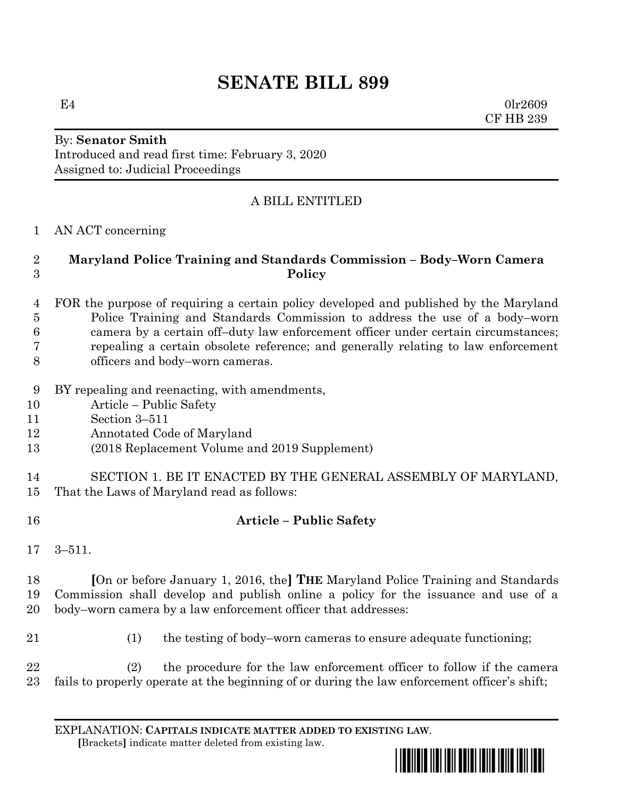# **SENATE BILL 899**

 $E4$  0lr2609 CF HB 239

## By: **Senator Smith** Introduced and read first time: February 3, 2020 Assigned to: Judicial Proceedings

# A BILL ENTITLED

#### AN ACT concerning

## **Maryland Police Training and Standards Commission – Body–Worn Camera Policy**

- FOR the purpose of requiring a certain policy developed and published by the Maryland Police Training and Standards Commission to address the use of a body–worn camera by a certain off–duty law enforcement officer under certain circumstances; repealing a certain obsolete reference; and generally relating to law enforcement officers and body–worn cameras.
- BY repealing and reenacting, with amendments,
- Article Public Safety
- Section 3–511
- Annotated Code of Maryland
- (2018 Replacement Volume and 2019 Supplement)
- SECTION 1. BE IT ENACTED BY THE GENERAL ASSEMBLY OF MARYLAND, That the Laws of Maryland read as follows:
- **Article – Public Safety**
- 3–511.

 **[**On or before January 1, 2016, the**] THE** Maryland Police Training and Standards Commission shall develop and publish online a policy for the issuance and use of a body–worn camera by a law enforcement officer that addresses:

(1) the testing of body–worn cameras to ensure adequate functioning;

 (2) the procedure for the law enforcement officer to follow if the camera fails to properly operate at the beginning of or during the law enforcement officer's shift;

EXPLANATION: **CAPITALS INDICATE MATTER ADDED TO EXISTING LAW**.  **[**Brackets**]** indicate matter deleted from existing law.